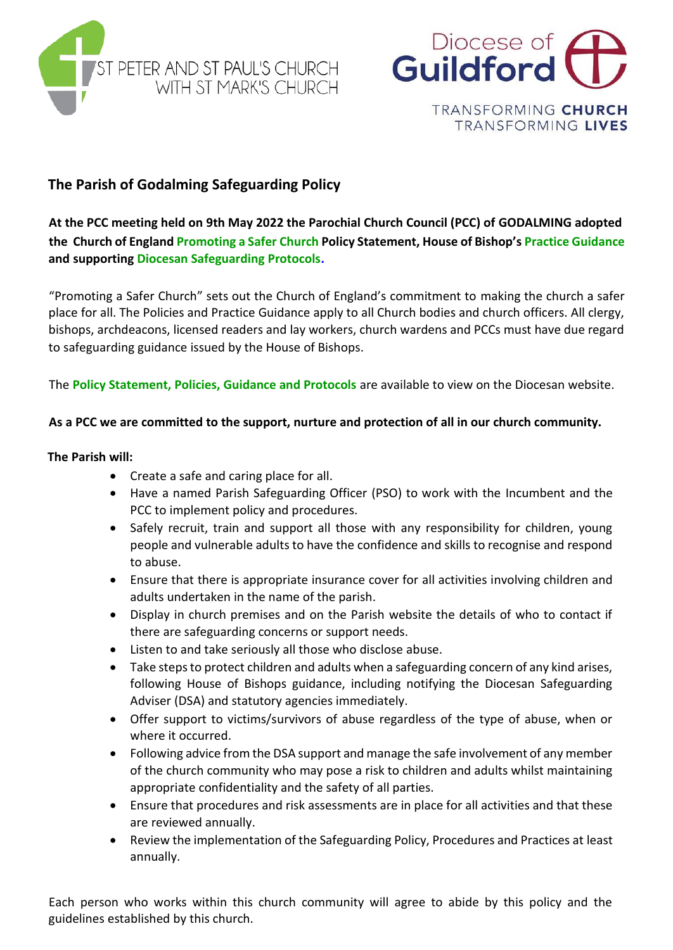



# **The Parish of Godalming Safeguarding Policy**

**At the PCC meeting held on 9th May 2022 the Parochial Church Council (PCC) of GODALMING adopted the Church of Englan[d Promoting a Safer Church](https://www.churchofengland.org/sites/default/files/2017-11/cofe-policy-statement.pdf) Policy Statement, House of Bishop's [Practice Guidance](https://www.churchofengland.org/safeguarding/promoting-safer-church/policy-practice-guidance) and supporting [Diocesan Safeguarding Protocols.](https://www.cofeguildford.org.uk/about/safeguarding-inclusion/safeguarding-resources)**

"Promoting a Safer Church" sets out the Church of England's commitment to making the church a safer place for all. The Policies and Practice Guidance apply to all Church bodies and church officers. All clergy, bishops, archdeacons, licensed readers and lay workers, church wardens and PCCs must have due regard to safeguarding guidance issued by the House of Bishops.

The **[Policy Statement, Policies, Guidance and Protocols](http://www.cofeguildford.org.uk/safeguarding)** are available to view on the Diocesan website.

## **As a PCC we are committed to the support, nurture and protection of all in our church community.**

## **The Parish will:**

- Create a safe and caring place for all.
- Have a named Parish Safeguarding Officer (PSO) to work with the Incumbent and the PCC to implement policy and procedures.
- Safely recruit, train and support all those with any responsibility for children, young people and vulnerable adults to have the confidence and skills to recognise and respond to abuse.
- Ensure that there is appropriate insurance cover for all activities involving children and adults undertaken in the name of the parish.
- Display in church premises and on the Parish website the details of who to contact if there are safeguarding concerns or support needs.
- Listen to and take seriously all those who disclose abuse.
- Take steps to protect children and adults when a safeguarding concern of any kind arises, following House of Bishops guidance, including notifying the Diocesan Safeguarding Adviser (DSA) and statutory agencies immediately.
- Offer support to victims/survivors of abuse regardless of the type of abuse, when or where it occurred.
- Following advice from the DSA support and manage the safe involvement of any member of the church community who may pose a risk to children and adults whilst maintaining appropriate confidentiality and the safety of all parties.
- Ensure that procedures and risk assessments are in place for all activities and that these are reviewed annually.
- Review the implementation of the Safeguarding Policy, Procedures and Practices at least annually.

Each person who works within this church community will agree to abide by this policy and the guidelines established by this church.